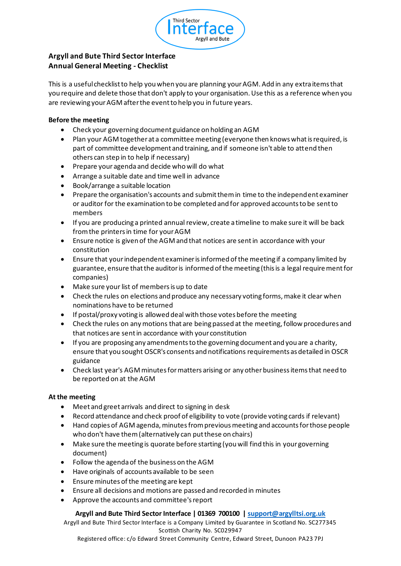

## **Argyll and Bute Third Sector Interface Annual General Meeting - Checklist**

This is a useful checklist to help you when you are planning your AGM. Add in any extra items that you require and delete those that don't apply to your organisation. Use this as a reference when you are reviewing your AGM after the event to help you in future years.

#### **Before the meeting**

- Check your governing document guidance on holding an AGM
- Plan your AGM together at a committee meeting (everyone then knows what is required, is part of committee development and training, and if someone isn't able to attend then others can step in to help if necessary)
- Prepare your agenda and decide who will do what
- Arrange a suitable date and time well in advance
- Book/arrange a suitable location
- Prepare the organisation's accounts and submit them in time to the independent examiner or auditor for the examination to be completed and for approved accounts to be sent to members
- If you are producing a printed annual review, create a timeline to make sure it will be back from the printers in time for your AGM
- Ensure notice is given of the AGM and that notices are sent in accordance with your constitution
- Ensure that your independent examiner is informed of the meeting if a company limited by guarantee, ensure that the auditor is informed of the meeting (this is a legal requirement for companies)
- Make sure your list of members is up to date
- Check the rules on elections and produce any necessary voting forms, make it clear when nominations have to be returned
- If postal/proxy voting is allowed deal with those votes before the meeting
- Check the rules on any motions that are being passed at the meeting, follow procedures and that notices are sent in accordance with your constitution
- If you are proposing any amendments to the governing document and you are a charity, ensure that you sought OSCR's consents and notifications requirements as detailed in OSCR guidance
- Check last year's AGM minutes for matters arising or any other business items that need to be reported on at the AGM

#### **At the meeting**

- Meet and greet arrivals and direct to signing in desk
- Record attendance and check proof of eligibility to vote (provide voting cards if relevant)
- Hand copies of AGM agenda, minutes from previous meeting and accounts for those people who don't have them (alternatively can put these on chairs)
- Make sure the meeting is quorate before starting (you will find this in your governing document)
- Follow the agenda of the business on the AGM
- Have originals of accounts available to be seen
- Ensure minutes of the meeting are kept
- Ensure all decisions and motions are passed and recorded in minutes
- Approve the accounts and committee's report

#### **Argyll and Bute Third Sector Interface | 01369 700100 | support@argylltsi.org.uk**

Argyll and Bute Third Sector Interface is a Company Limited by Guarantee in Scotland No. SC277345 Scottish Charity No. SC029947

Registered office: c/o Edward Street Community Centre, Edward Street, Dunoon PA23 7PJ